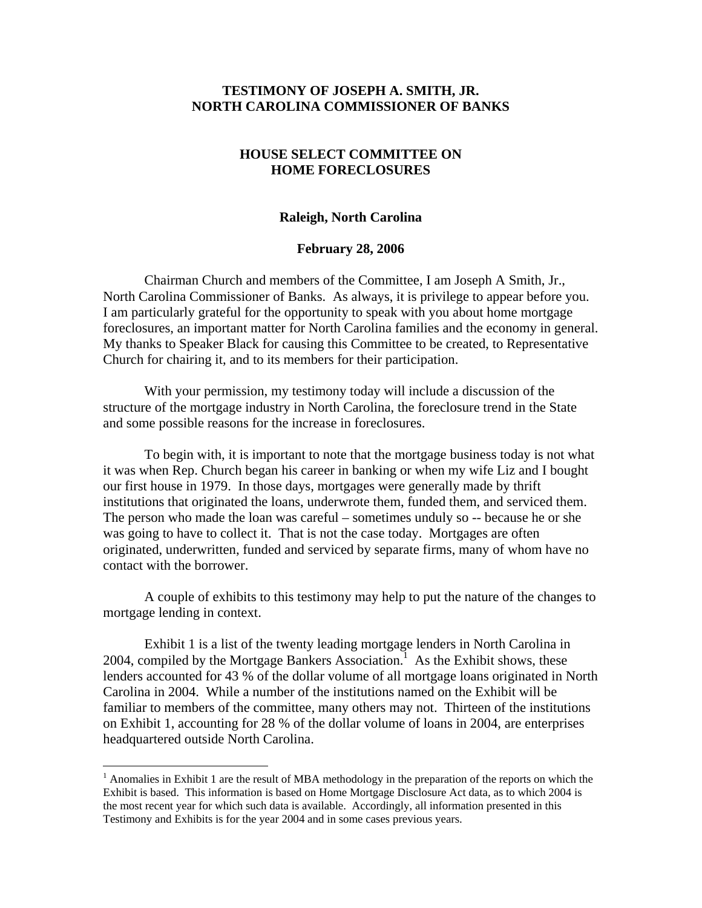#### **TESTIMONY OF JOSEPH A. SMITH, JR. NORTH CAROLINA COMMISSIONER OF BANKS**

### **HOUSE SELECT COMMITTEE ON HOME FORECLOSURES**

#### **Raleigh, North Carolina**

#### **February 28, 2006**

 Chairman Church and members of the Committee, I am Joseph A Smith, Jr., North Carolina Commissioner of Banks. As always, it is privilege to appear before you. I am particularly grateful for the opportunity to speak with you about home mortgage foreclosures, an important matter for North Carolina families and the economy in general. My thanks to Speaker Black for causing this Committee to be created, to Representative Church for chairing it, and to its members for their participation.

 With your permission, my testimony today will include a discussion of the structure of the mortgage industry in North Carolina, the foreclosure trend in the State and some possible reasons for the increase in foreclosures.

 To begin with, it is important to note that the mortgage business today is not what it was when Rep. Church began his career in banking or when my wife Liz and I bought our first house in 1979. In those days, mortgages were generally made by thrift institutions that originated the loans, underwrote them, funded them, and serviced them. The person who made the loan was careful – sometimes unduly so -- because he or she was going to have to collect it. That is not the case today. Mortgages are often originated, underwritten, funded and serviced by separate firms, many of whom have no contact with the borrower.

 A couple of exhibits to this testimony may help to put the nature of the changes to mortgage lending in context.

Exhibit 1 is a list of the twenty leading mortgage lenders in North Carolina in 2004, compiled by the Mortgage Bankers Association.<sup>1</sup> As the Exhibit shows, these lenders accounted for 43 % of the dollar volume of all mortgage loans originated in North Carolina in 2004. While a number of the institutions named on the Exhibit will be familiar to members of the committee, many others may not. Thirteen of the institutions on Exhibit 1, accounting for 28 % of the dollar volume of loans in 2004, are enterprises headquartered outside North Carolina.

 $\overline{a}$ 

 $<sup>1</sup>$  Anomalies in Exhibit 1 are the result of MBA methodology in the preparation of the reports on which the</sup> Exhibit is based. This information is based on Home Mortgage Disclosure Act data, as to which 2004 is the most recent year for which such data is available. Accordingly, all information presented in this Testimony and Exhibits is for the year 2004 and in some cases previous years.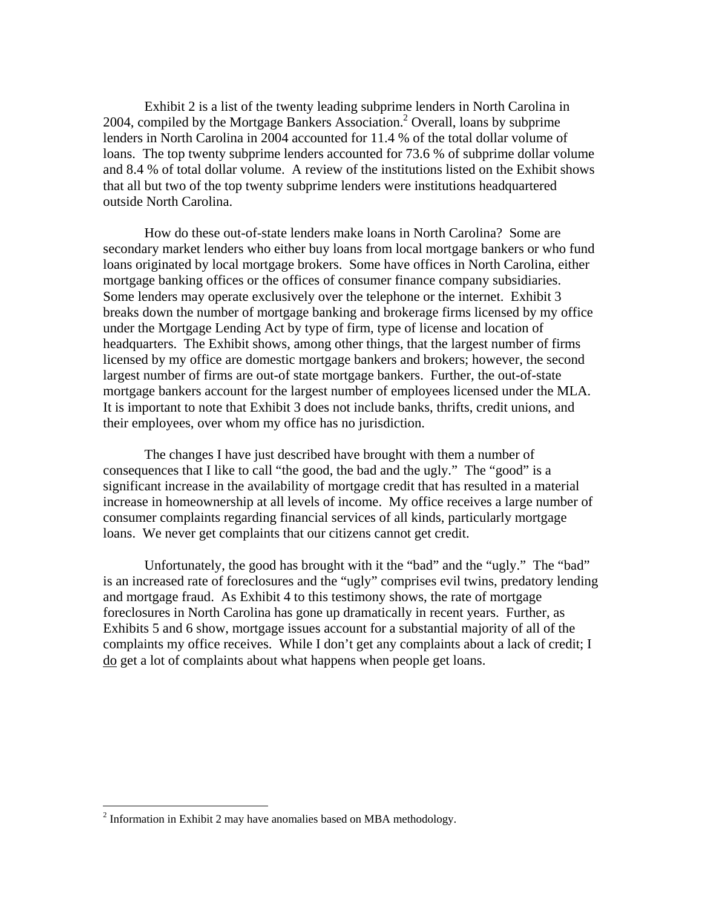Exhibit 2 is a list of the twenty leading subprime lenders in North Carolina in 2004, compiled by the Mortgage Bankers Association.<sup>2</sup> Overall, loans by subprime lenders in North Carolina in 2004 accounted for 11.4 % of the total dollar volume of loans. The top twenty subprime lenders accounted for 73.6 % of subprime dollar volume and 8.4 % of total dollar volume. A review of the institutions listed on the Exhibit shows that all but two of the top twenty subprime lenders were institutions headquartered outside North Carolina.

How do these out-of-state lenders make loans in North Carolina? Some are secondary market lenders who either buy loans from local mortgage bankers or who fund loans originated by local mortgage brokers. Some have offices in North Carolina, either mortgage banking offices or the offices of consumer finance company subsidiaries. Some lenders may operate exclusively over the telephone or the internet. Exhibit 3 breaks down the number of mortgage banking and brokerage firms licensed by my office under the Mortgage Lending Act by type of firm, type of license and location of headquarters. The Exhibit shows, among other things, that the largest number of firms licensed by my office are domestic mortgage bankers and brokers; however, the second largest number of firms are out-of state mortgage bankers. Further, the out-of-state mortgage bankers account for the largest number of employees licensed under the MLA. It is important to note that Exhibit 3 does not include banks, thrifts, credit unions, and their employees, over whom my office has no jurisdiction.

 The changes I have just described have brought with them a number of consequences that I like to call "the good, the bad and the ugly." The "good" is a significant increase in the availability of mortgage credit that has resulted in a material increase in homeownership at all levels of income. My office receives a large number of consumer complaints regarding financial services of all kinds, particularly mortgage loans. We never get complaints that our citizens cannot get credit.

 Unfortunately, the good has brought with it the "bad" and the "ugly." The "bad" is an increased rate of foreclosures and the "ugly" comprises evil twins, predatory lending and mortgage fraud. As Exhibit 4 to this testimony shows, the rate of mortgage foreclosures in North Carolina has gone up dramatically in recent years. Further, as Exhibits 5 and 6 show, mortgage issues account for a substantial majority of all of the complaints my office receives. While I don't get any complaints about a lack of credit; I do get a lot of complaints about what happens when people get loans.

 $\overline{a}$ 

<sup>&</sup>lt;sup>2</sup> Information in Exhibit 2 may have anomalies based on MBA methodology.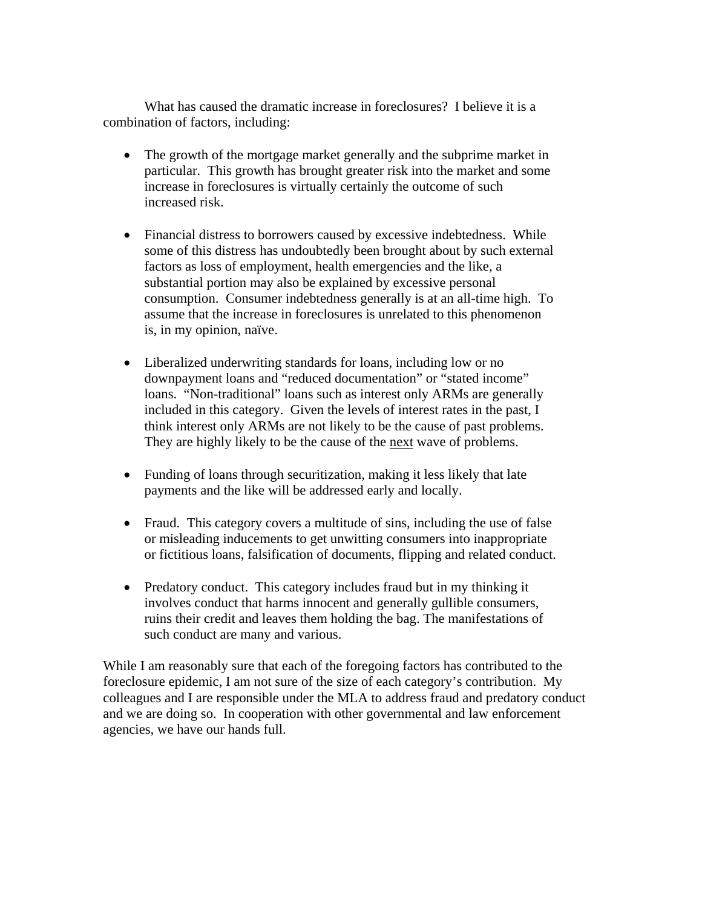What has caused the dramatic increase in foreclosures? I believe it is a combination of factors, including:

- The growth of the mortgage market generally and the subprime market in particular. This growth has brought greater risk into the market and some increase in foreclosures is virtually certainly the outcome of such increased risk.
- Financial distress to borrowers caused by excessive indebtedness. While some of this distress has undoubtedly been brought about by such external factors as loss of employment, health emergencies and the like, a substantial portion may also be explained by excessive personal consumption. Consumer indebtedness generally is at an all-time high. To assume that the increase in foreclosures is unrelated to this phenomenon is, in my opinion, naïve.
- Liberalized underwriting standards for loans, including low or no downpayment loans and "reduced documentation" or "stated income" loans. "Non-traditional" loans such as interest only ARMs are generally included in this category. Given the levels of interest rates in the past, I think interest only ARMs are not likely to be the cause of past problems. They are highly likely to be the cause of the next wave of problems.
- Funding of loans through securitization, making it less likely that late payments and the like will be addressed early and locally.
- Fraud. This category covers a multitude of sins, including the use of false or misleading inducements to get unwitting consumers into inappropriate or fictitious loans, falsification of documents, flipping and related conduct.
- Predatory conduct. This category includes fraud but in my thinking it involves conduct that harms innocent and generally gullible consumers, ruins their credit and leaves them holding the bag. The manifestations of such conduct are many and various.

While I am reasonably sure that each of the foregoing factors has contributed to the foreclosure epidemic, I am not sure of the size of each category's contribution. My colleagues and I are responsible under the MLA to address fraud and predatory conduct and we are doing so. In cooperation with other governmental and law enforcement agencies, we have our hands full.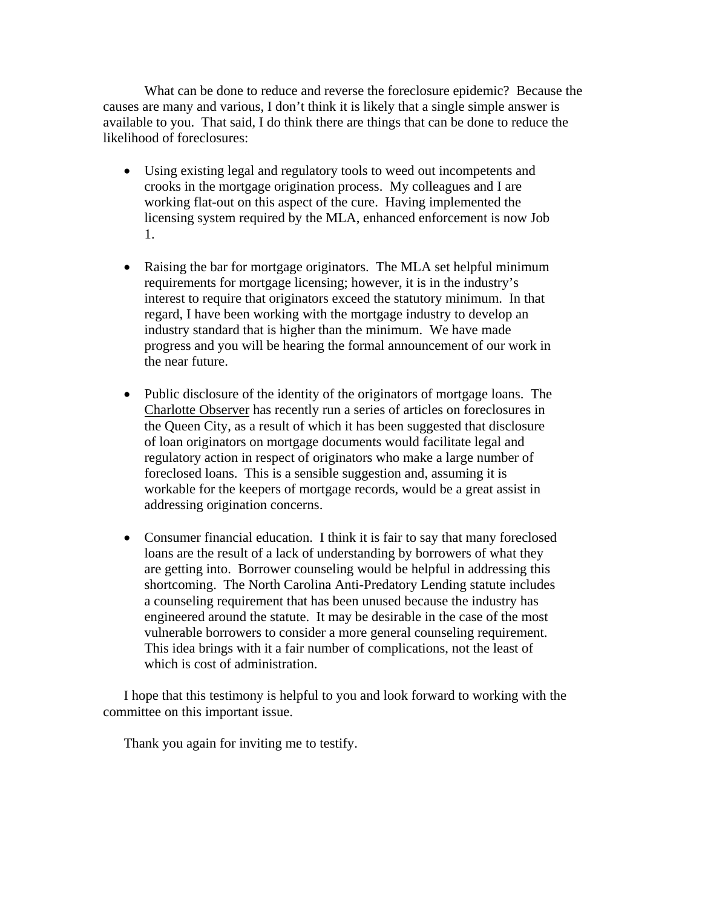What can be done to reduce and reverse the foreclosure epidemic? Because the causes are many and various, I don't think it is likely that a single simple answer is available to you. That said, I do think there are things that can be done to reduce the likelihood of foreclosures:

- Using existing legal and regulatory tools to weed out incompetents and crooks in the mortgage origination process. My colleagues and I are working flat-out on this aspect of the cure. Having implemented the licensing system required by the MLA, enhanced enforcement is now Job 1.
- Raising the bar for mortgage originators. The MLA set helpful minimum requirements for mortgage licensing; however, it is in the industry's interest to require that originators exceed the statutory minimum. In that regard, I have been working with the mortgage industry to develop an industry standard that is higher than the minimum. We have made progress and you will be hearing the formal announcement of our work in the near future.
- Public disclosure of the identity of the originators of mortgage loans. The Charlotte Observer has recently run a series of articles on foreclosures in the Queen City, as a result of which it has been suggested that disclosure of loan originators on mortgage documents would facilitate legal and regulatory action in respect of originators who make a large number of foreclosed loans. This is a sensible suggestion and, assuming it is workable for the keepers of mortgage records, would be a great assist in addressing origination concerns.
- Consumer financial education. I think it is fair to say that many foreclosed loans are the result of a lack of understanding by borrowers of what they are getting into. Borrower counseling would be helpful in addressing this shortcoming. The North Carolina Anti-Predatory Lending statute includes a counseling requirement that has been unused because the industry has engineered around the statute. It may be desirable in the case of the most vulnerable borrowers to consider a more general counseling requirement. This idea brings with it a fair number of complications, not the least of which is cost of administration.

I hope that this testimony is helpful to you and look forward to working with the committee on this important issue.

Thank you again for inviting me to testify.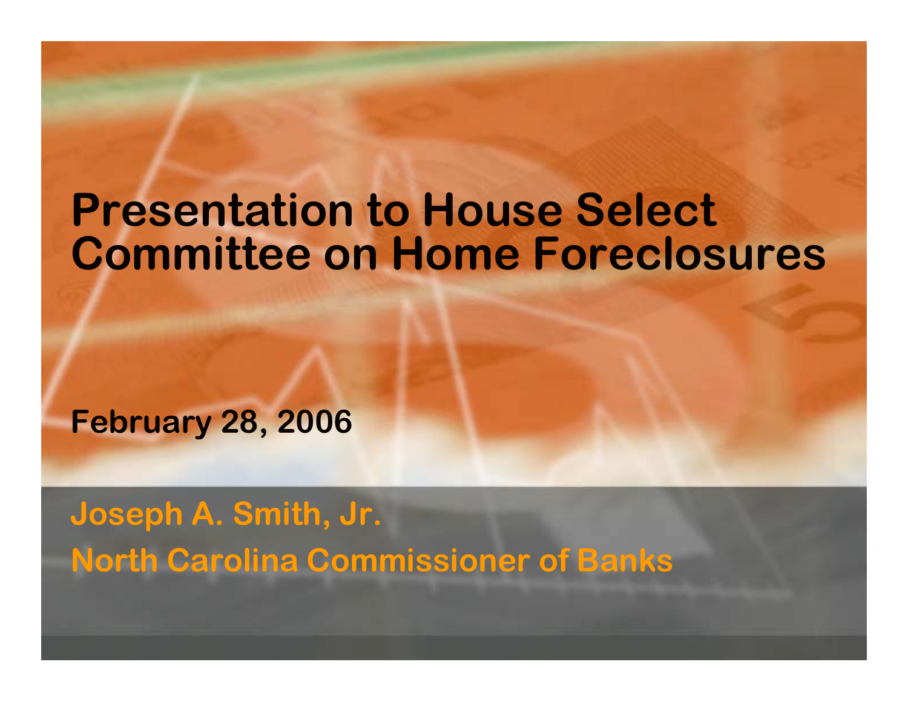## **Presentation to House Select Committee on Home Foreclosures**

**February 28, 2006**

**Joseph A. Smith, Jr. North Carolina Commissioner of Banks**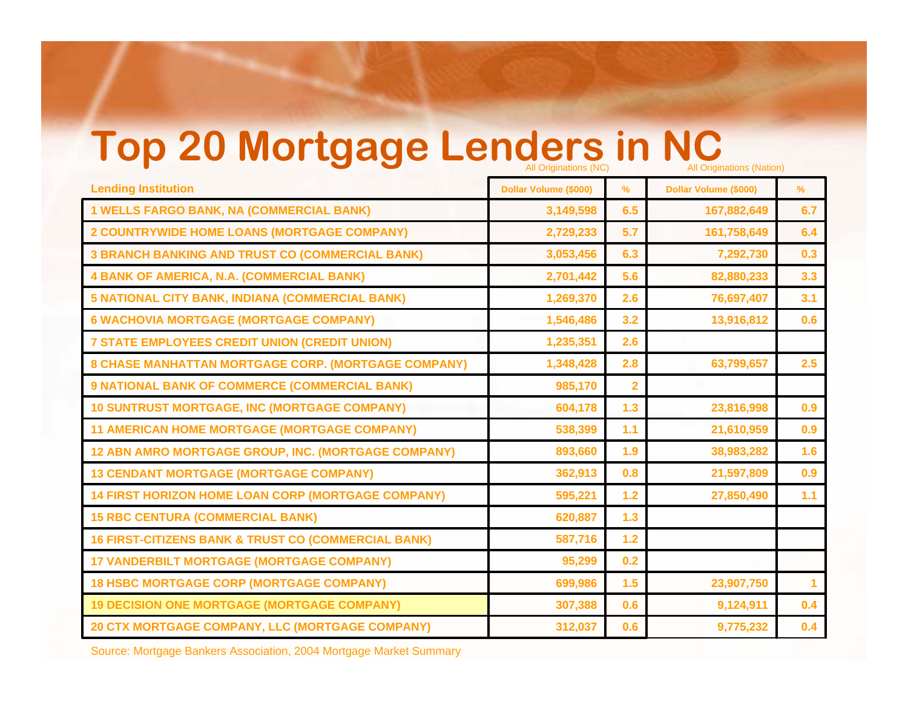# **Top 20 Mortgage Lenders in NC**

|                                                                | All Unginations (NC)  |                | All Unginations (Nation) |             |
|----------------------------------------------------------------|-----------------------|----------------|--------------------------|-------------|
| <b>Lending Institution</b>                                     | Dollar Volume (\$000) | $\%$           | Dollar Volume (\$000)    | %           |
| <b>1 WELLS FARGO BANK, NA (COMMERCIAL BANK)</b>                | 3,149,598             | 6.5            | 167,882,649              | 6.7         |
| 2 COUNTRYWIDE HOME LOANS (MORTGAGE COMPANY)                    | 2,729,233             | 5.7            | 161,758,649              | 6.4         |
| <b>3 BRANCH BANKING AND TRUST CO (COMMERCIAL BANK)</b>         | 3,053,456             | 6.3            | 7,292,730                | 0.3         |
| <b>4 BANK OF AMERICA, N.A. (COMMERCIAL BANK)</b>               | 2,701,442             | 5.6            | 82,880,233               | 3.3         |
| 5 NATIONAL CITY BANK, INDIANA (COMMERCIAL BANK)                | 1,269,370             | 2.6            | 76,697,407               | 3.1         |
| <b>6 WACHOVIA MORTGAGE (MORTGAGE COMPANY)</b>                  | 1,546,486             | 3.2            | 13,916,812               | 0.6         |
| 7 STATE EMPLOYEES CREDIT UNION (CREDIT UNION)                  | 1,235,351             | 2.6            |                          |             |
| 8 CHASE MANHATTAN MORTGAGE CORP. (MORTGAGE COMPANY)            | 1,348,428             | 2.8            | 63,799,657               | 2.5         |
| <b>9 NATIONAL BANK OF COMMERCE (COMMERCIAL BANK)</b>           | 985,170               | $\overline{2}$ |                          |             |
| <b>10 SUNTRUST MORTGAGE, INC (MORTGAGE COMPANY)</b>            | 604,178               | 1.3            | 23,816,998               | 0.9         |
| <b>11 AMERICAN HOME MORTGAGE (MORTGAGE COMPANY)</b>            | 538,399               | 1.1            | 21,610,959               | 0.9         |
| 12 ABN AMRO MORTGAGE GROUP, INC. (MORTGAGE COMPANY)            | 893,660               | 1.9            | 38,983,282               | 1.6         |
| <b>13 CENDANT MORTGAGE (MORTGAGE COMPANY)</b>                  | 362,913               | 0.8            | 21,597,809               | 0.9         |
| <b>14 FIRST HORIZON HOME LOAN CORP (MORTGAGE COMPANY)</b>      | 595,221               | $1.2$          | 27,850,490               | 1.1         |
| <b>15 RBC CENTURA (COMMERCIAL BANK)</b>                        | 620,887               | 1.3            |                          |             |
| <b>16 FIRST-CITIZENS BANK &amp; TRUST CO (COMMERCIAL BANK)</b> | 587,716               | $1.2$          |                          |             |
| <b>17 VANDERBILT MORTGAGE (MORTGAGE COMPANY)</b>               | 95,299                | 0.2            |                          |             |
| <b>18 HSBC MORTGAGE CORP (MORTGAGE COMPANY)</b>                | 699,986               | 1.5            | 23,907,750               | $\mathbf 1$ |
| <b>19 DECISION ONE MORTGAGE (MORTGAGE COMPANY)</b>             | 307,388               | 0.6            | 9,124,911                | 0.4         |
| 20 CTX MORTGAGE COMPANY, LLC (MORTGAGE COMPANY)                | 312,037               | 0.6            | 9,775,232                | 0.4         |
|                                                                |                       |                |                          |             |

Source: Mortgage Bankers Association, 2004 Mortgage Market Summary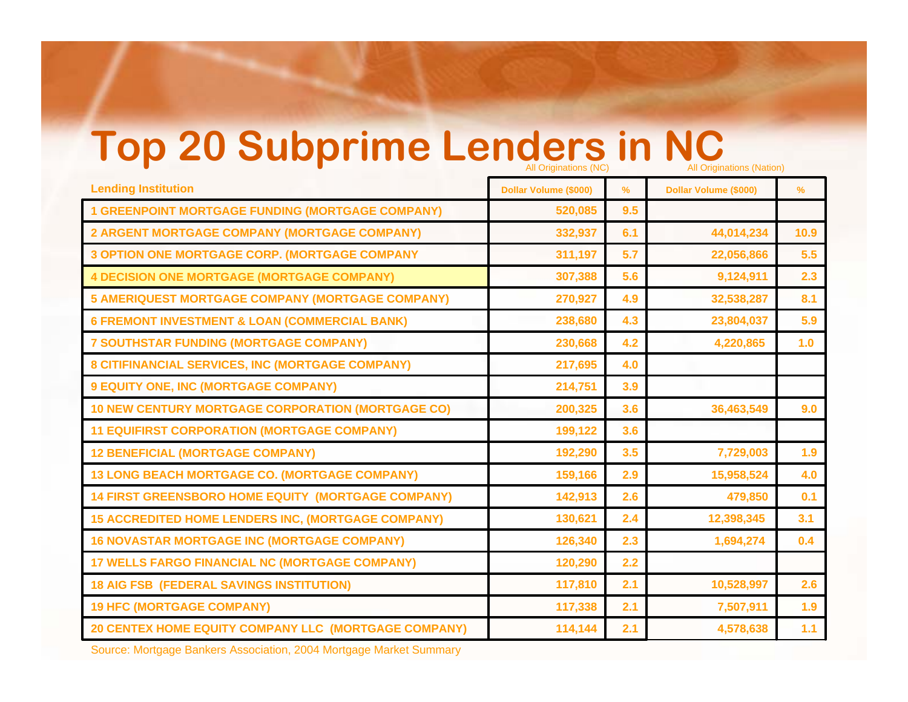# **Top 20 Subprime Lenders in NC**

| <b>Lending Institution</b>                                | Dollar Volume (\$000) | $\frac{9}{6}$ | Dollar Volume (\$000) | %     |
|-----------------------------------------------------------|-----------------------|---------------|-----------------------|-------|
| <b>1 GREENPOINT MORTGAGE FUNDING (MORTGAGE COMPANY)</b>   | 520,085               | 9.5           |                       |       |
| 2 ARGENT MORTGAGE COMPANY (MORTGAGE COMPANY)              | 332,937               | 6.1           | 44,014,234            | 10.9  |
| <b>3 OPTION ONE MORTGAGE CORP. (MORTGAGE COMPANY</b>      | 311,197               | 5.7           | 22,056,866            | 5.5   |
| <b>4 DECISION ONE MORTGAGE (MORTGAGE COMPANY)</b>         | 307,388               | 5.6           | 9,124,911             | 2.3   |
| <b>5 AMERIQUEST MORTGAGE COMPANY (MORTGAGE COMPANY)</b>   | 270,927               | 4.9           | 32,538,287            | 8.1   |
| <b>6 FREMONT INVESTMENT &amp; LOAN (COMMERCIAL BANK)</b>  | 238,680               | 4.3           | 23,804,037            | 5.9   |
| 7 SOUTHSTAR FUNDING (MORTGAGE COMPANY)                    | 230,668               | 4.2           | 4,220,865             | 1.0   |
| 8 CITIFINANCIAL SERVICES, INC (MORTGAGE COMPANY)          | 217,695               | 4.0           |                       |       |
| 9 EQUITY ONE, INC (MORTGAGE COMPANY)                      | 214,751               | 3.9           |                       |       |
| <b>10 NEW CENTURY MORTGAGE CORPORATION (MORTGAGE CO)</b>  | 200,325               | 3.6           | 36,463,549            | 9.0   |
| <b>11 EQUIFIRST CORPORATION (MORTGAGE COMPANY)</b>        | 199,122               | 3.6           |                       |       |
| <b>12 BENEFICIAL (MORTGAGE COMPANY)</b>                   | 192,290               | 3.5           | 7,729,003             | 1.9   |
| <b>13 LONG BEACH MORTGAGE CO. (MORTGAGE COMPANY)</b>      | 159,166               | 2.9           | 15,958,524            | 4.0   |
| <b>14 FIRST GREENSBORO HOME EQUITY (MORTGAGE COMPANY)</b> | 142,913               | 2.6           | 479,850               | 0.1   |
| <b>15 ACCREDITED HOME LENDERS INC, (MORTGAGE COMPANY)</b> | 130,621               | 2.4           | 12,398,345            | 3.1   |
| <b>16 NOVASTAR MORTGAGE INC (MORTGAGE COMPANY)</b>        | 126,340               | 2.3           | 1,694,274             | 0.4   |
| 17 WELLS FARGO FINANCIAL NC (MORTGAGE COMPANY)            | 120,290               | 2.2           |                       |       |
| <b>18 AIG FSB (FEDERAL SAVINGS INSTITUTION)</b>           | 117,810               | 2.1           | 10,528,997            | 2.6   |
| <b>19 HFC (MORTGAGE COMPANY)</b>                          | 117,338               | 2.1           | 7,507,911             | 1.9   |
| 20 CENTEX HOME EQUITY COMPANY LLC (MORTGAGE COMPANY)      | 114,144               | 2.1           | 4,578,638             | $1.1$ |
|                                                           |                       |               |                       |       |

Source: Mortgage Bankers Association, 2004 Mortgage Market Summary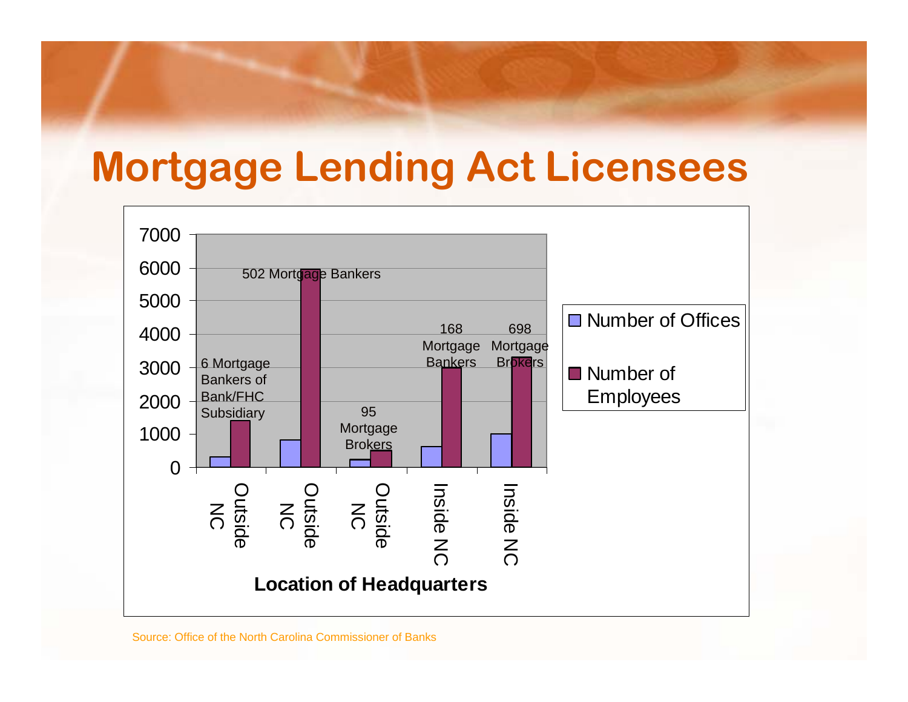### **Mortgage Lending Act Licensees**

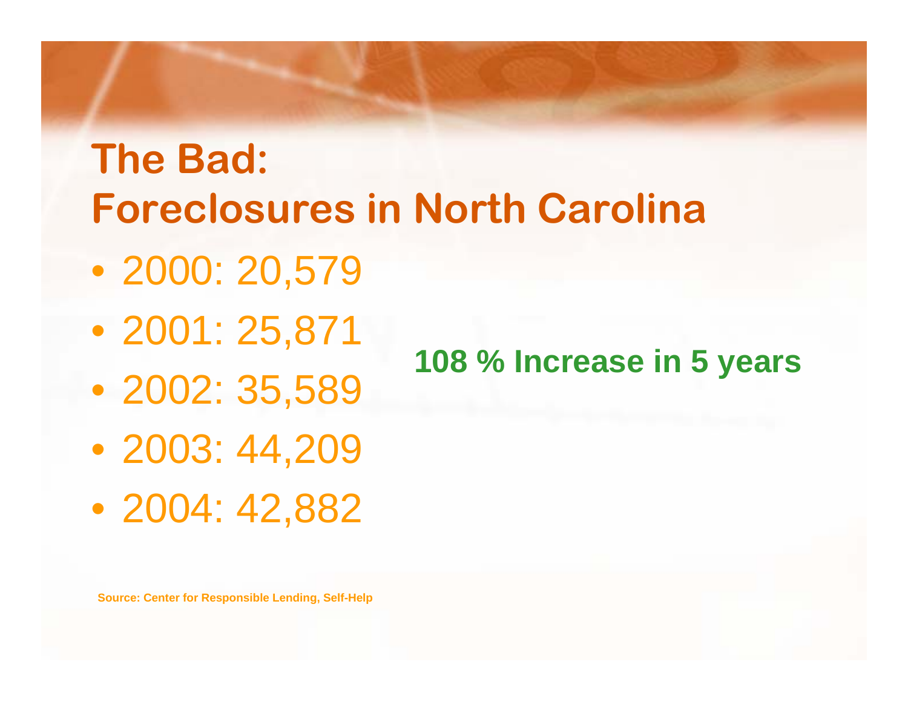# **The Bad: Foreclosures in North Carolina**

- 2000: 20,579
- 2001: 25,871
- 2002: 35,589
- 2003: 44,209
- 2004: 42,882

**108 % Increase in 5 years**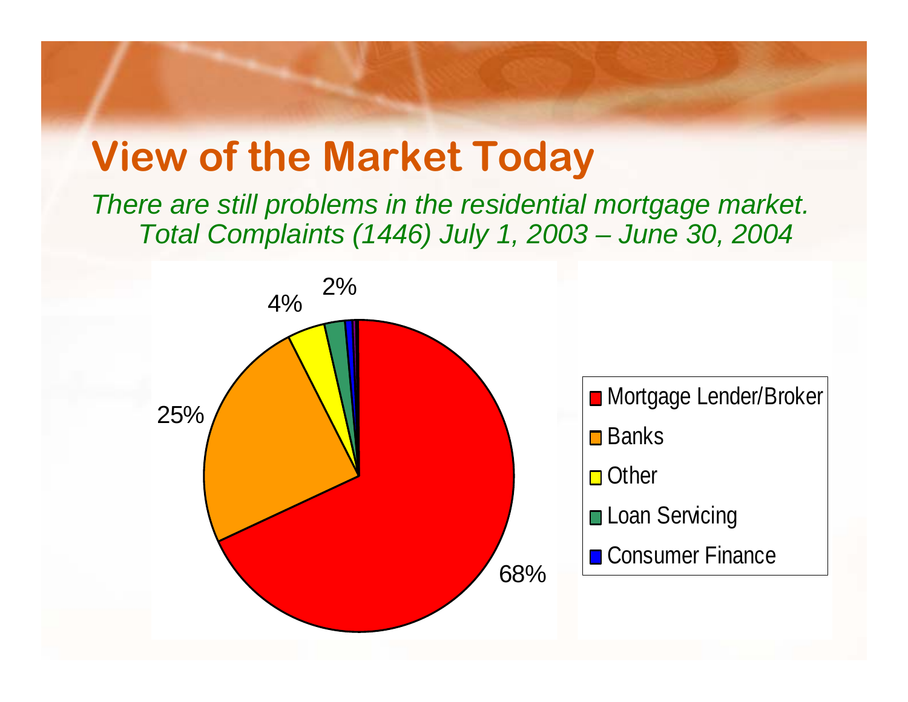## **View of the Market Today**

*There are still problems in the residential mortgage market. Total Complaints (1446) July 1, 2003 – June 30, 2004*